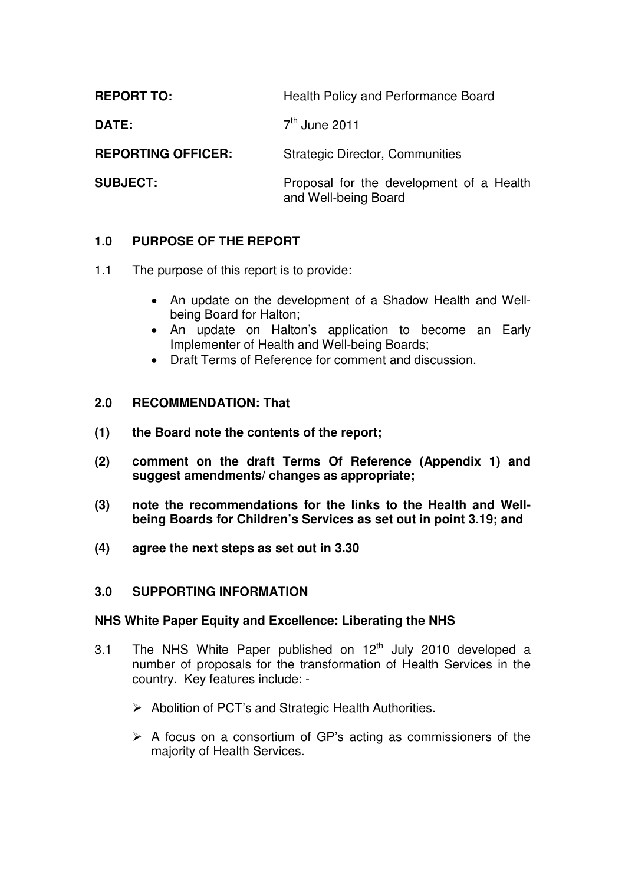| <b>REPORT TO:</b>         | Health Policy and Performance Board                              |
|---------------------------|------------------------------------------------------------------|
| <b>DATE:</b>              | $7th$ June 2011                                                  |
| <b>REPORTING OFFICER:</b> | <b>Strategic Director, Communities</b>                           |
| <b>SUBJECT:</b>           | Proposal for the development of a Health<br>and Well-being Board |

# **1.0 PURPOSE OF THE REPORT**

- 1.1 The purpose of this report is to provide:
	- An update on the development of a Shadow Health and Wellbeing Board for Halton;
	- An update on Halton's application to become an Early Implementer of Health and Well-being Boards;
	- Draft Terms of Reference for comment and discussion.

#### **2.0 RECOMMENDATION: That**

- **(1) the Board note the contents of the report;**
- **(2) comment on the draft Terms Of Reference (Appendix 1) and suggest amendments/ changes as appropriate;**
- **(3) note the recommendations for the links to the Health and Wellbeing Boards for Children's Services as set out in point 3.19; and**
- **(4) agree the next steps as set out in 3.30**

#### **3.0 SUPPORTING INFORMATION**

#### **NHS White Paper Equity and Excellence: Liberating the NHS**

- 3.1 The NHS White Paper published on  $12<sup>th</sup>$  July 2010 developed a number of proposals for the transformation of Health Services in the country. Key features include: -
	- ▶ Abolition of PCT's and Strategic Health Authorities.
	- $\triangleright$  A focus on a consortium of GP's acting as commissioners of the majority of Health Services.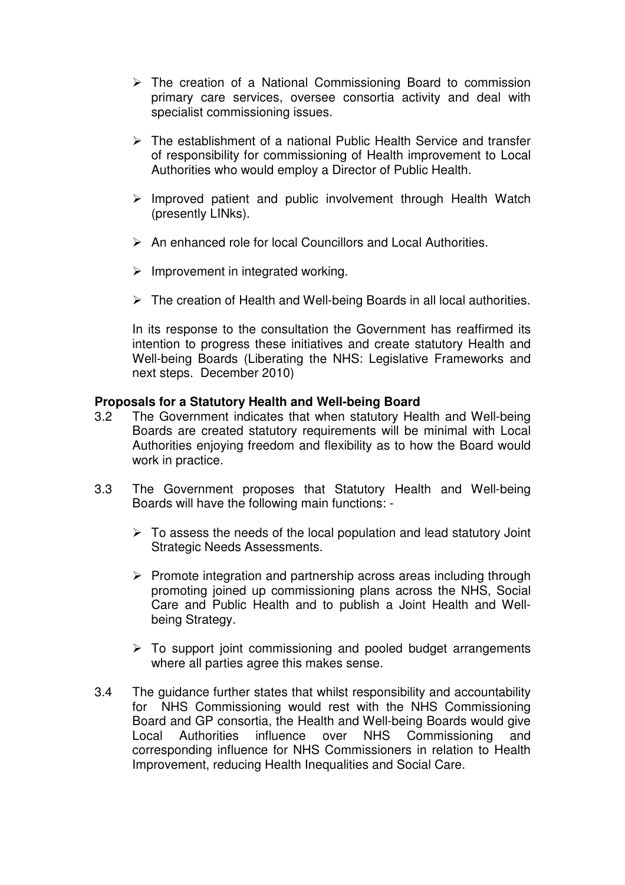- $\triangleright$  The creation of a National Commissioning Board to commission primary care services, oversee consortia activity and deal with specialist commissioning issues.
- $\triangleright$  The establishment of a national Public Health Service and transfer of responsibility for commissioning of Health improvement to Local Authorities who would employ a Director of Public Health.
- $\triangleright$  Improved patient and public involvement through Health Watch (presently LINks).
- $\triangleright$  An enhanced role for local Councillors and Local Authorities.
- $\triangleright$  Improvement in integrated working.
- $\triangleright$  The creation of Health and Well-being Boards in all local authorities.

In its response to the consultation the Government has reaffirmed its intention to progress these initiatives and create statutory Health and Well-being Boards (Liberating the NHS: Legislative Frameworks and next steps. December 2010)

#### **Proposals for a Statutory Health and Well-being Board**

- 3.2 The Government indicates that when statutory Health and Well-being Boards are created statutory requirements will be minimal with Local Authorities enjoying freedom and flexibility as to how the Board would work in practice.
- 3.3 The Government proposes that Statutory Health and Well-being Boards will have the following main functions: -
	- $\triangleright$  To assess the needs of the local population and lead statutory Joint Strategic Needs Assessments.
	- $\triangleright$  Promote integration and partnership across areas including through promoting joined up commissioning plans across the NHS, Social Care and Public Health and to publish a Joint Health and Wellbeing Strategy.
	- $\triangleright$  To support joint commissioning and pooled budget arrangements where all parties agree this makes sense.
- 3.4 The guidance further states that whilst responsibility and accountability for NHS Commissioning would rest with the NHS Commissioning Board and GP consortia, the Health and Well-being Boards would give Local Authorities influence over NHS Commissioning and corresponding influence for NHS Commissioners in relation to Health Improvement, reducing Health Inequalities and Social Care.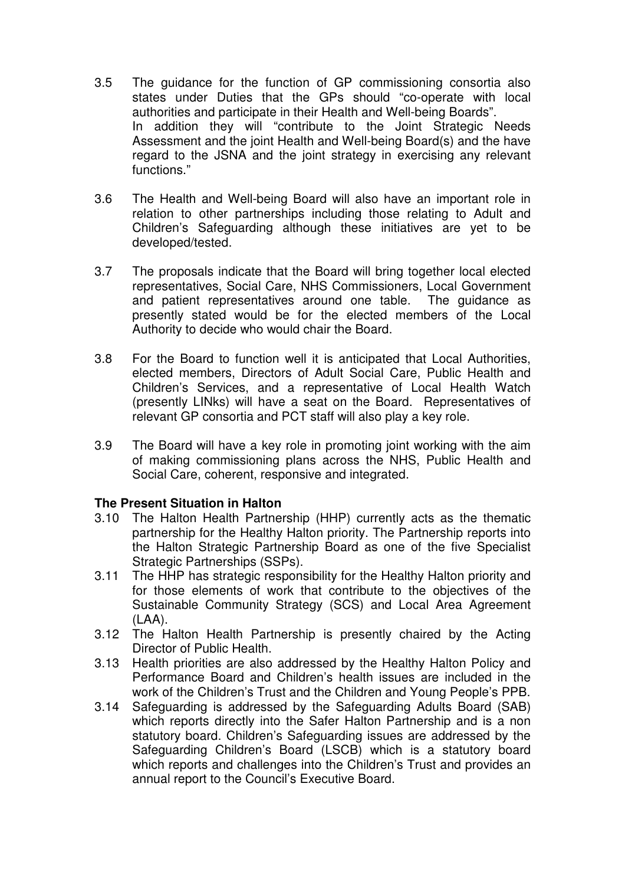- 3.5 The guidance for the function of GP commissioning consortia also states under Duties that the GPs should "co-operate with local authorities and participate in their Health and Well-being Boards". In addition they will "contribute to the Joint Strategic Needs Assessment and the joint Health and Well-being Board(s) and the have regard to the JSNA and the joint strategy in exercising any relevant functions."
- 3.6 The Health and Well-being Board will also have an important role in relation to other partnerships including those relating to Adult and Children's Safeguarding although these initiatives are yet to be developed/tested.
- 3.7 The proposals indicate that the Board will bring together local elected representatives, Social Care, NHS Commissioners, Local Government and patient representatives around one table. The guidance as presently stated would be for the elected members of the Local Authority to decide who would chair the Board.
- 3.8 For the Board to function well it is anticipated that Local Authorities, elected members, Directors of Adult Social Care, Public Health and Children's Services, and a representative of Local Health Watch (presently LINks) will have a seat on the Board. Representatives of relevant GP consortia and PCT staff will also play a key role.
- 3.9 The Board will have a key role in promoting joint working with the aim of making commissioning plans across the NHS, Public Health and Social Care, coherent, responsive and integrated.

#### **The Present Situation in Halton**

- 3.10 The Halton Health Partnership (HHP) currently acts as the thematic partnership for the Healthy Halton priority. The Partnership reports into the Halton Strategic Partnership Board as one of the five Specialist Strategic Partnerships (SSPs).
- 3.11 The HHP has strategic responsibility for the Healthy Halton priority and for those elements of work that contribute to the objectives of the Sustainable Community Strategy (SCS) and Local Area Agreement (LAA).
- 3.12 The Halton Health Partnership is presently chaired by the Acting Director of Public Health.
- 3.13 Health priorities are also addressed by the Healthy Halton Policy and Performance Board and Children's health issues are included in the work of the Children's Trust and the Children and Young People's PPB.
- 3.14 Safeguarding is addressed by the Safeguarding Adults Board (SAB) which reports directly into the Safer Halton Partnership and is a non statutory board. Children's Safeguarding issues are addressed by the Safeguarding Children's Board (LSCB) which is a statutory board which reports and challenges into the Children's Trust and provides an annual report to the Council's Executive Board.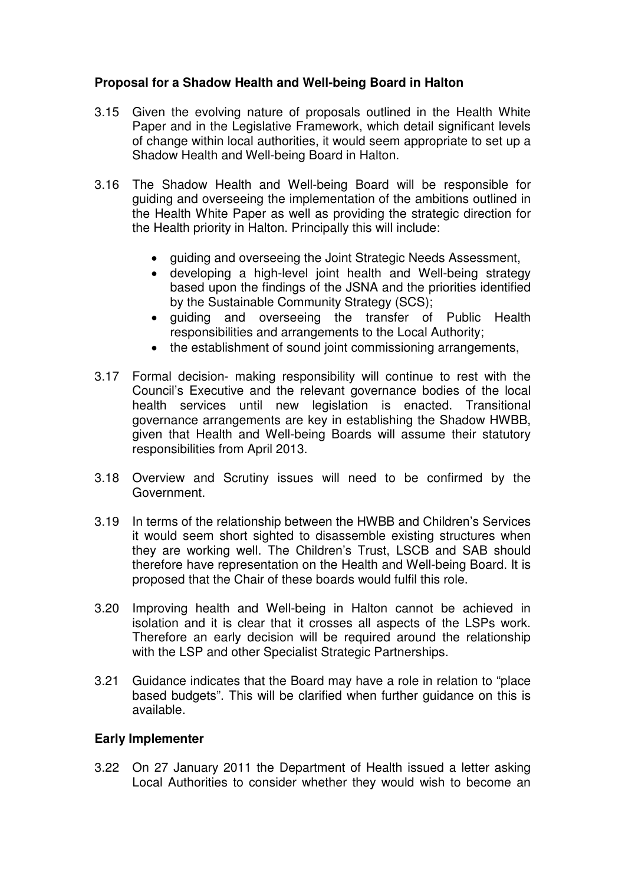### **Proposal for a Shadow Health and Well-being Board in Halton**

- 3.15 Given the evolving nature of proposals outlined in the Health White Paper and in the Legislative Framework, which detail significant levels of change within local authorities, it would seem appropriate to set up a Shadow Health and Well-being Board in Halton.
- 3.16 The Shadow Health and Well-being Board will be responsible for guiding and overseeing the implementation of the ambitions outlined in the Health White Paper as well as providing the strategic direction for the Health priority in Halton. Principally this will include:
	- guiding and overseeing the Joint Strategic Needs Assessment,
	- developing a high-level joint health and Well-being strategy based upon the findings of the JSNA and the priorities identified by the Sustainable Community Strategy (SCS);
	- guiding and overseeing the transfer of Public Health responsibilities and arrangements to the Local Authority;
	- the establishment of sound joint commissioning arrangements,
- 3.17 Formal decision- making responsibility will continue to rest with the Council's Executive and the relevant governance bodies of the local health services until new legislation is enacted. Transitional governance arrangements are key in establishing the Shadow HWBB, given that Health and Well-being Boards will assume their statutory responsibilities from April 2013.
- 3.18 Overview and Scrutiny issues will need to be confirmed by the Government.
- 3.19 In terms of the relationship between the HWBB and Children's Services it would seem short sighted to disassemble existing structures when they are working well. The Children's Trust, LSCB and SAB should therefore have representation on the Health and Well-being Board. It is proposed that the Chair of these boards would fulfil this role.
- 3.20 Improving health and Well-being in Halton cannot be achieved in isolation and it is clear that it crosses all aspects of the LSPs work. Therefore an early decision will be required around the relationship with the LSP and other Specialist Strategic Partnerships.
- 3.21 Guidance indicates that the Board may have a role in relation to "place based budgets". This will be clarified when further guidance on this is available.

#### **Early Implementer**

3.22 On 27 January 2011 the Department of Health issued a letter asking Local Authorities to consider whether they would wish to become an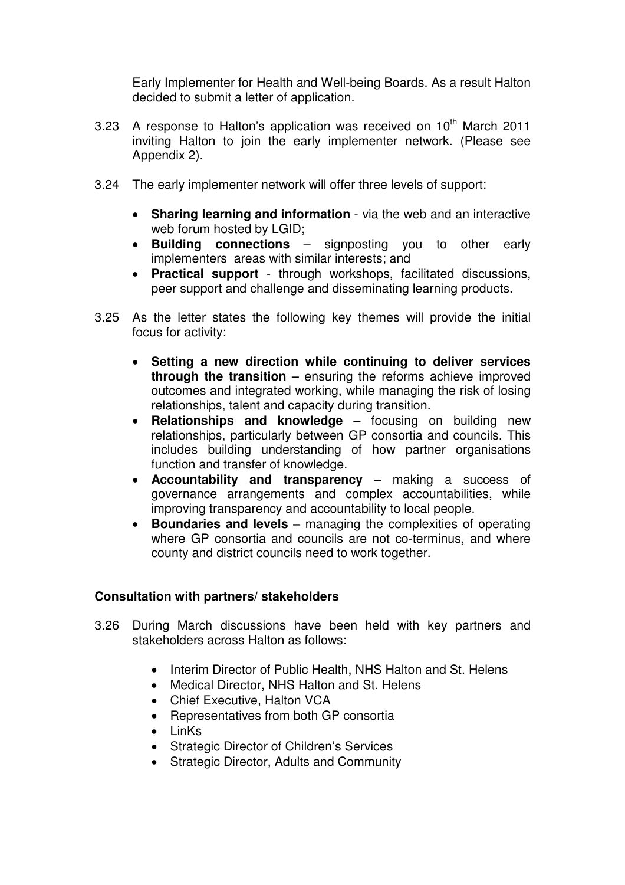Early Implementer for Health and Well-being Boards. As a result Halton decided to submit a letter of application.

- 3.23 A response to Halton's application was received on  $10^{th}$  March 2011 inviting Halton to join the early implementer network. (Please see Appendix 2).
- 3.24 The early implementer network will offer three levels of support:
	- **Sharing learning and information** via the web and an interactive web forum hosted by LGID;
	- **Building connections** signposting you to other early implementers areas with similar interests; and
	- **Practical support**  through workshops, facilitated discussions, peer support and challenge and disseminating learning products.
- 3.25 As the letter states the following key themes will provide the initial focus for activity:
	- **Setting a new direction while continuing to deliver services through the transition –** ensuring the reforms achieve improved outcomes and integrated working, while managing the risk of losing relationships, talent and capacity during transition.
	- **Relationships and knowledge** focusing on building new relationships, particularly between GP consortia and councils. This includes building understanding of how partner organisations function and transfer of knowledge.
	- **Accountability and transparency** making a success of governance arrangements and complex accountabilities, while improving transparency and accountability to local people.
	- **Boundaries and levels** managing the complexities of operating where GP consortia and councils are not co-terminus, and where county and district councils need to work together.

## **Consultation with partners/ stakeholders**

- 3.26 During March discussions have been held with key partners and stakeholders across Halton as follows:
	- Interim Director of Public Health, NHS Halton and St. Helens
	- Medical Director, NHS Halton and St. Helens
	- Chief Executive, Halton VCA
	- Representatives from both GP consortia
	- LinKs
	- Strategic Director of Children's Services
	- Strategic Director, Adults and Community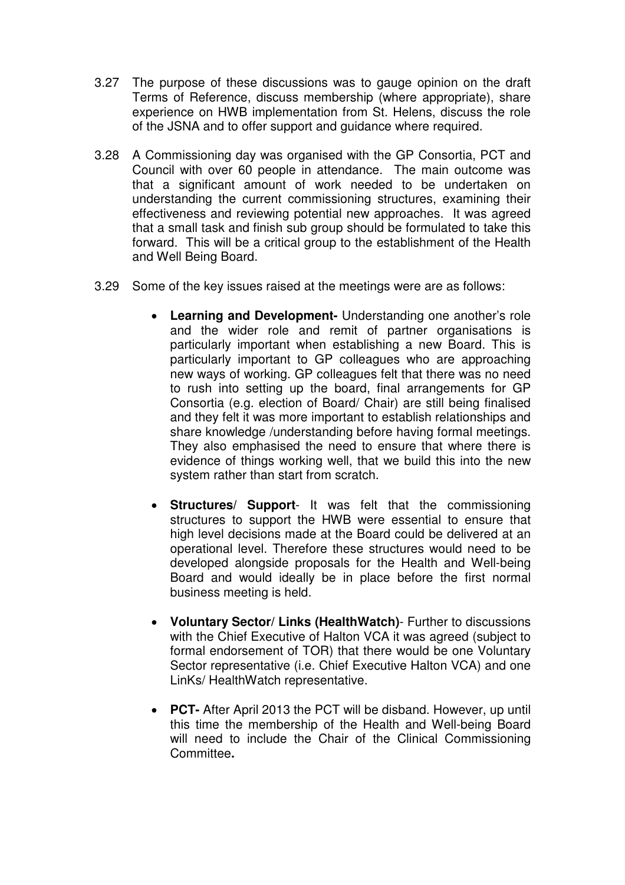- 3.27 The purpose of these discussions was to gauge opinion on the draft Terms of Reference, discuss membership (where appropriate), share experience on HWB implementation from St. Helens, discuss the role of the JSNA and to offer support and guidance where required.
- 3.28 A Commissioning day was organised with the GP Consortia, PCT and Council with over 60 people in attendance. The main outcome was that a significant amount of work needed to be undertaken on understanding the current commissioning structures, examining their effectiveness and reviewing potential new approaches. It was agreed that a small task and finish sub group should be formulated to take this forward. This will be a critical group to the establishment of the Health and Well Being Board.
- 3.29 Some of the key issues raised at the meetings were are as follows:
	- **Learning and Development-** Understanding one another's role and the wider role and remit of partner organisations is particularly important when establishing a new Board. This is particularly important to GP colleagues who are approaching new ways of working. GP colleagues felt that there was no need to rush into setting up the board, final arrangements for GP Consortia (e.g. election of Board/ Chair) are still being finalised and they felt it was more important to establish relationships and share knowledge /understanding before having formal meetings. They also emphasised the need to ensure that where there is evidence of things working well, that we build this into the new system rather than start from scratch.
	- **Structures/ Support** It was felt that the commissioning structures to support the HWB were essential to ensure that high level decisions made at the Board could be delivered at an operational level. Therefore these structures would need to be developed alongside proposals for the Health and Well-being Board and would ideally be in place before the first normal business meeting is held.
	- **Voluntary Sector/ Links (HealthWatch)** Further to discussions with the Chief Executive of Halton VCA it was agreed (subject to formal endorsement of TOR) that there would be one Voluntary Sector representative (i.e. Chief Executive Halton VCA) and one LinKs/ HealthWatch representative.
	- **PCT-** After April 2013 the PCT will be disband. However, up until this time the membership of the Health and Well-being Board will need to include the Chair of the Clinical Commissioning Committee**.**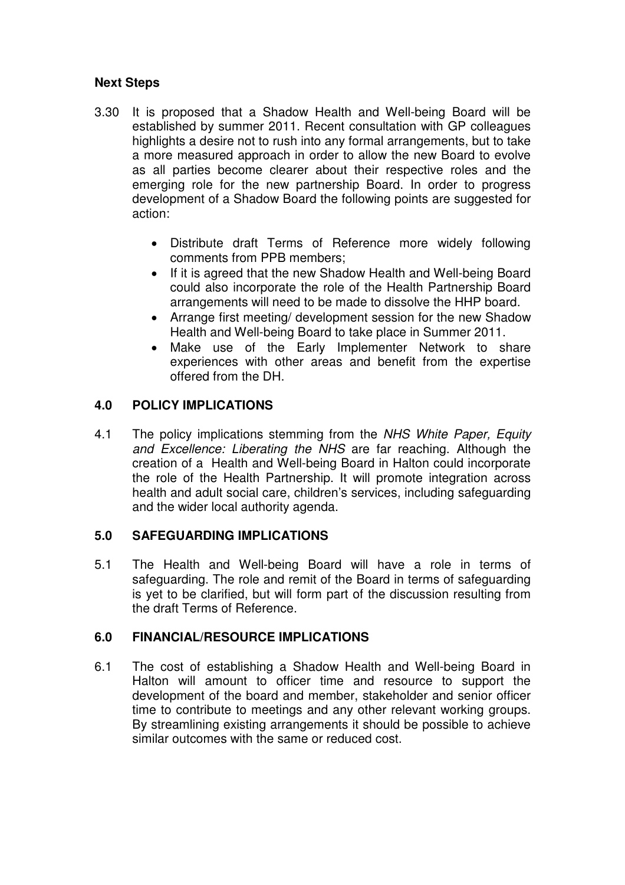## **Next Steps**

- 3.30 It is proposed that a Shadow Health and Well-being Board will be established by summer 2011. Recent consultation with GP colleagues highlights a desire not to rush into any formal arrangements, but to take a more measured approach in order to allow the new Board to evolve as all parties become clearer about their respective roles and the emerging role for the new partnership Board. In order to progress development of a Shadow Board the following points are suggested for action:
	- Distribute draft Terms of Reference more widely following comments from PPB members;
	- If it is agreed that the new Shadow Health and Well-being Board could also incorporate the role of the Health Partnership Board arrangements will need to be made to dissolve the HHP board.
	- Arrange first meeting/ development session for the new Shadow Health and Well-being Board to take place in Summer 2011.
	- Make use of the Early Implementer Network to share experiences with other areas and benefit from the expertise offered from the DH.

# **4.0 POLICY IMPLICATIONS**

4.1 The policy implications stemming from the NHS White Paper, Equity and Excellence: Liberating the NHS are far reaching. Although the creation of a Health and Well-being Board in Halton could incorporate the role of the Health Partnership. It will promote integration across health and adult social care, children's services, including safeguarding and the wider local authority agenda.

## **5.0 SAFEGUARDING IMPLICATIONS**

5.1 The Health and Well-being Board will have a role in terms of safeguarding. The role and remit of the Board in terms of safeguarding is yet to be clarified, but will form part of the discussion resulting from the draft Terms of Reference.

## **6.0 FINANCIAL/RESOURCE IMPLICATIONS**

6.1 The cost of establishing a Shadow Health and Well-being Board in Halton will amount to officer time and resource to support the development of the board and member, stakeholder and senior officer time to contribute to meetings and any other relevant working groups. By streamlining existing arrangements it should be possible to achieve similar outcomes with the same or reduced cost.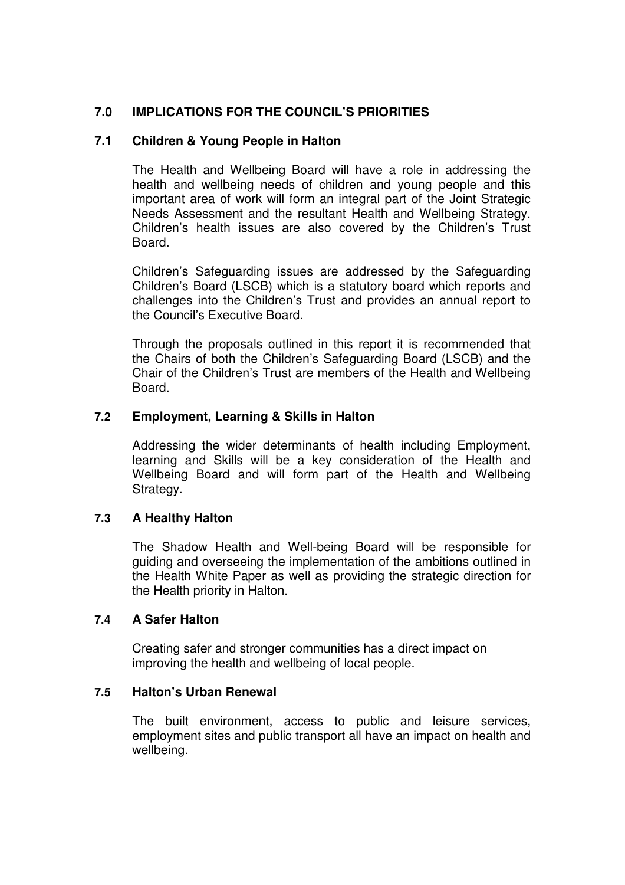### **7.0 IMPLICATIONS FOR THE COUNCIL'S PRIORITIES**

#### **7.1 Children & Young People in Halton**

 The Health and Wellbeing Board will have a role in addressing the health and wellbeing needs of children and young people and this important area of work will form an integral part of the Joint Strategic Needs Assessment and the resultant Health and Wellbeing Strategy. Children's health issues are also covered by the Children's Trust Board.

 Children's Safeguarding issues are addressed by the Safeguarding Children's Board (LSCB) which is a statutory board which reports and challenges into the Children's Trust and provides an annual report to the Council's Executive Board.

 Through the proposals outlined in this report it is recommended that the Chairs of both the Children's Safeguarding Board (LSCB) and the Chair of the Children's Trust are members of the Health and Wellbeing **Board** 

### **7.2 Employment, Learning & Skills in Halton**

Addressing the wider determinants of health including Employment, learning and Skills will be a key consideration of the Health and Wellbeing Board and will form part of the Health and Wellbeing Strategy.

#### **7.3 A Healthy Halton**

The Shadow Health and Well-being Board will be responsible for guiding and overseeing the implementation of the ambitions outlined in the Health White Paper as well as providing the strategic direction for the Health priority in Halton.

#### **7.4 A Safer Halton**

Creating safer and stronger communities has a direct impact on improving the health and wellbeing of local people.

#### **7.5 Halton's Urban Renewal**

The built environment, access to public and leisure services, employment sites and public transport all have an impact on health and wellbeing.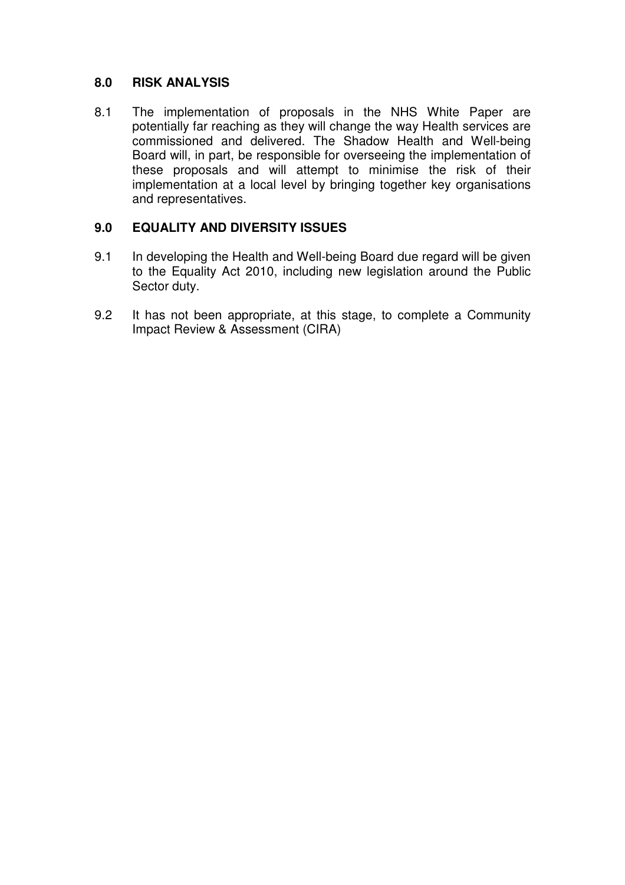#### **8.0 RISK ANALYSIS**

8.1 The implementation of proposals in the NHS White Paper are potentially far reaching as they will change the way Health services are commissioned and delivered. The Shadow Health and Well-being Board will, in part, be responsible for overseeing the implementation of these proposals and will attempt to minimise the risk of their implementation at a local level by bringing together key organisations and representatives.

## **9.0 EQUALITY AND DIVERSITY ISSUES**

- 9.1 In developing the Health and Well-being Board due regard will be given to the Equality Act 2010, including new legislation around the Public Sector duty.
- 9.2 It has not been appropriate, at this stage, to complete a Community Impact Review & Assessment (CIRA)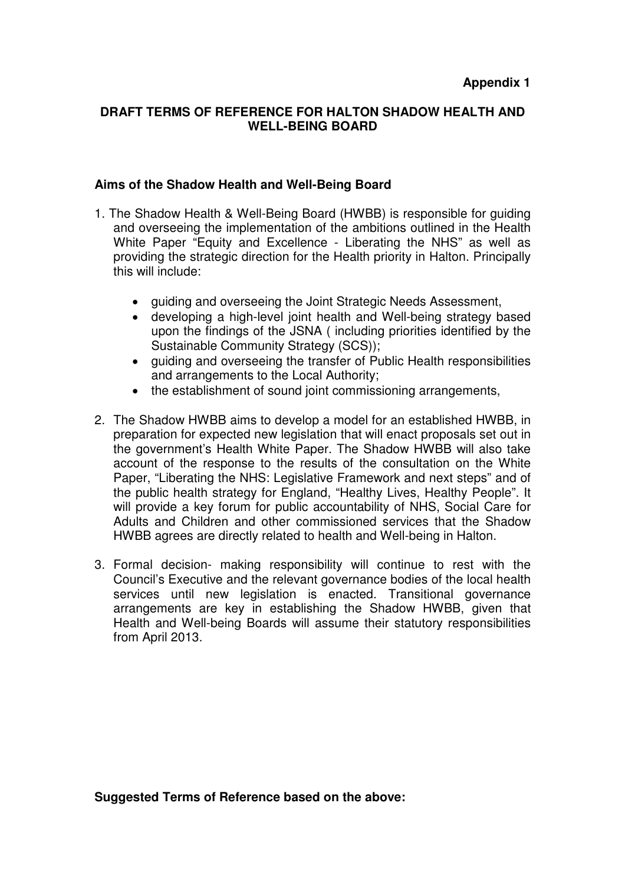#### **DRAFT TERMS OF REFERENCE FOR HALTON SHADOW HEALTH AND WELL-BEING BOARD**

#### **Aims of the Shadow Health and Well-Being Board**

- 1. The Shadow Health & Well-Being Board (HWBB) is responsible for guiding and overseeing the implementation of the ambitions outlined in the Health White Paper "Equity and Excellence - Liberating the NHS" as well as providing the strategic direction for the Health priority in Halton. Principally this will include:
	- guiding and overseeing the Joint Strategic Needs Assessment,
	- developing a high-level joint health and Well-being strategy based upon the findings of the JSNA ( including priorities identified by the Sustainable Community Strategy (SCS));
	- guiding and overseeing the transfer of Public Health responsibilities and arrangements to the Local Authority;
	- the establishment of sound joint commissioning arrangements,
- 2. The Shadow HWBB aims to develop a model for an established HWBB, in preparation for expected new legislation that will enact proposals set out in the government's Health White Paper. The Shadow HWBB will also take account of the response to the results of the consultation on the White Paper, "Liberating the NHS: Legislative Framework and next steps" and of the public health strategy for England, "Healthy Lives, Healthy People". It will provide a key forum for public accountability of NHS. Social Care for Adults and Children and other commissioned services that the Shadow HWBB agrees are directly related to health and Well-being in Halton.
- 3. Formal decision- making responsibility will continue to rest with the Council's Executive and the relevant governance bodies of the local health services until new legislation is enacted. Transitional governance arrangements are key in establishing the Shadow HWBB, given that Health and Well-being Boards will assume their statutory responsibilities from April 2013.

**Suggested Terms of Reference based on the above:**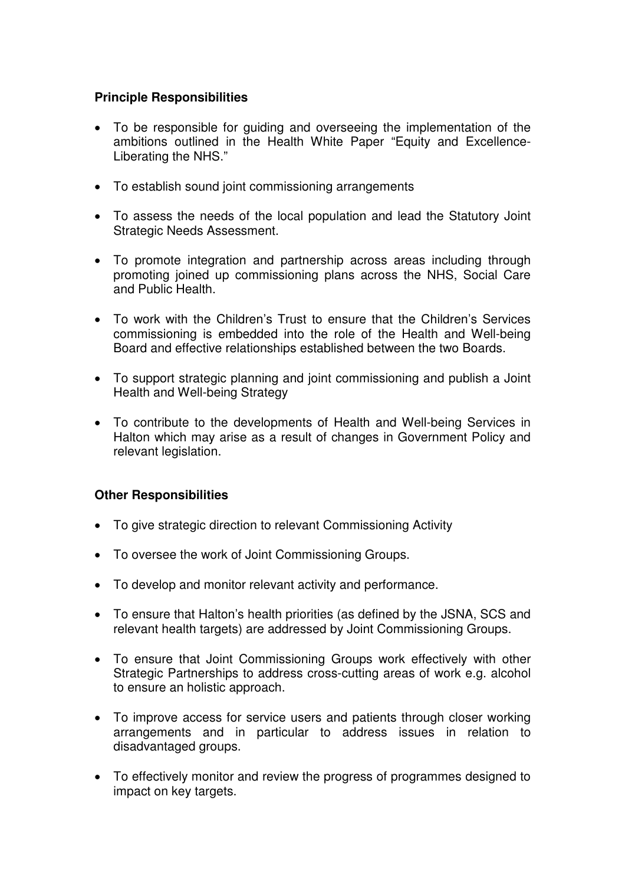## **Principle Responsibilities**

- To be responsible for guiding and overseeing the implementation of the ambitions outlined in the Health White Paper "Equity and Excellence-Liberating the NHS."
- To establish sound joint commissioning arrangements
- To assess the needs of the local population and lead the Statutory Joint Strategic Needs Assessment.
- To promote integration and partnership across areas including through promoting joined up commissioning plans across the NHS, Social Care and Public Health.
- To work with the Children's Trust to ensure that the Children's Services commissioning is embedded into the role of the Health and Well-being Board and effective relationships established between the two Boards.
- To support strategic planning and joint commissioning and publish a Joint Health and Well-being Strategy
- To contribute to the developments of Health and Well-being Services in Halton which may arise as a result of changes in Government Policy and relevant legislation.

## **Other Responsibilities**

- To give strategic direction to relevant Commissioning Activity
- To oversee the work of Joint Commissioning Groups.
- To develop and monitor relevant activity and performance.
- To ensure that Halton's health priorities (as defined by the JSNA, SCS and relevant health targets) are addressed by Joint Commissioning Groups.
- To ensure that Joint Commissioning Groups work effectively with other Strategic Partnerships to address cross-cutting areas of work e.g. alcohol to ensure an holistic approach.
- To improve access for service users and patients through closer working arrangements and in particular to address issues in relation to disadvantaged groups.
- To effectively monitor and review the progress of programmes designed to impact on key targets.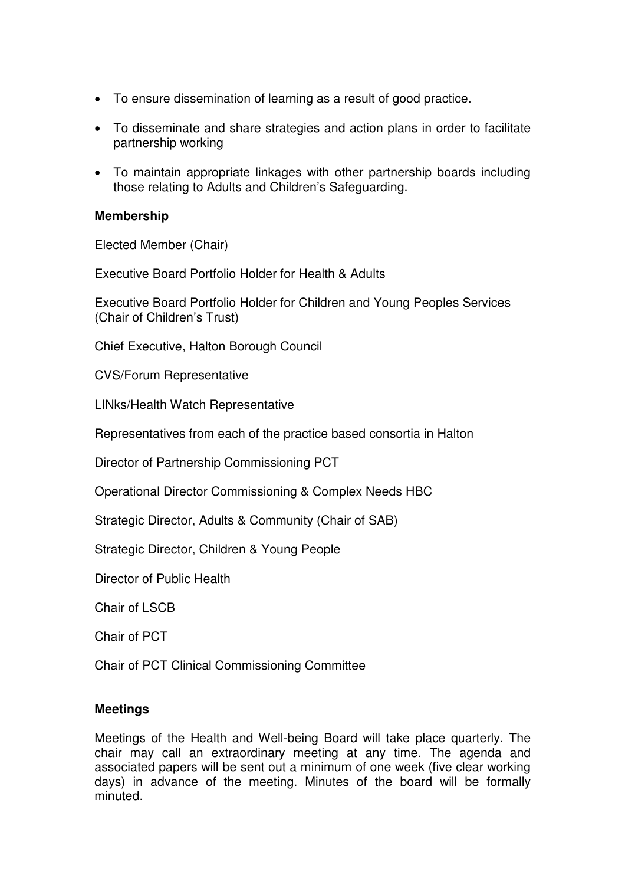- To ensure dissemination of learning as a result of good practice.
- To disseminate and share strategies and action plans in order to facilitate partnership working
- To maintain appropriate linkages with other partnership boards including those relating to Adults and Children's Safeguarding.

#### **Membership**

Elected Member (Chair)

Executive Board Portfolio Holder for Health & Adults

Executive Board Portfolio Holder for Children and Young Peoples Services (Chair of Children's Trust)

Chief Executive, Halton Borough Council

CVS/Forum Representative

LINks/Health Watch Representative

Representatives from each of the practice based consortia in Halton

Director of Partnership Commissioning PCT

Operational Director Commissioning & Complex Needs HBC

Strategic Director, Adults & Community (Chair of SAB)

Strategic Director, Children & Young People

Director of Public Health

Chair of LSCB

Chair of PCT

Chair of PCT Clinical Commissioning Committee

#### **Meetings**

Meetings of the Health and Well-being Board will take place quarterly. The chair may call an extraordinary meeting at any time. The agenda and associated papers will be sent out a minimum of one week (five clear working days) in advance of the meeting. Minutes of the board will be formally minuted.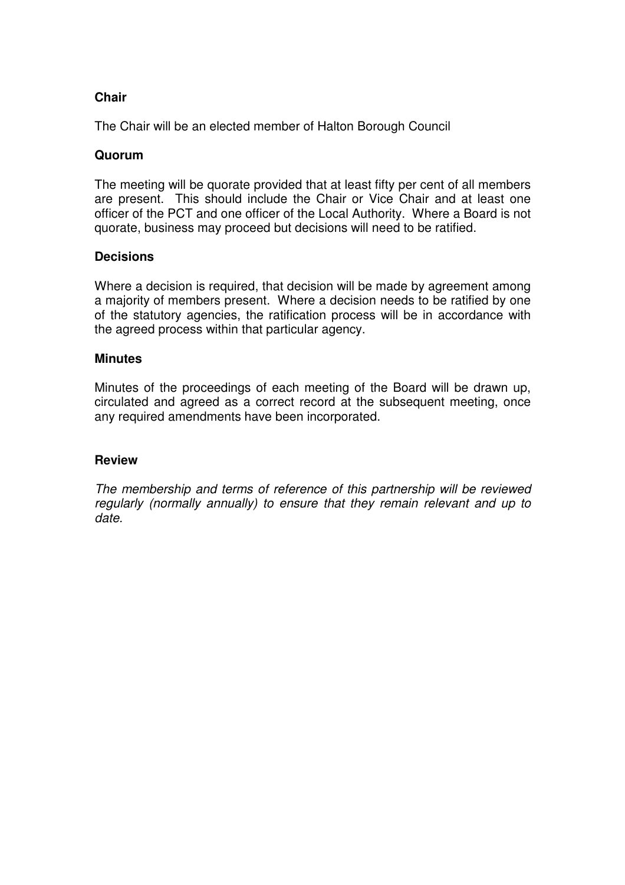### **Chair**

The Chair will be an elected member of Halton Borough Council

#### **Quorum**

The meeting will be quorate provided that at least fifty per cent of all members are present. This should include the Chair or Vice Chair and at least one officer of the PCT and one officer of the Local Authority. Where a Board is not quorate, business may proceed but decisions will need to be ratified.

#### **Decisions**

Where a decision is required, that decision will be made by agreement among a majority of members present. Where a decision needs to be ratified by one of the statutory agencies, the ratification process will be in accordance with the agreed process within that particular agency.

#### **Minutes**

Minutes of the proceedings of each meeting of the Board will be drawn up, circulated and agreed as a correct record at the subsequent meeting, once any required amendments have been incorporated.

#### **Review**

The membership and terms of reference of this partnership will be reviewed regularly (normally annually) to ensure that they remain relevant and up to date.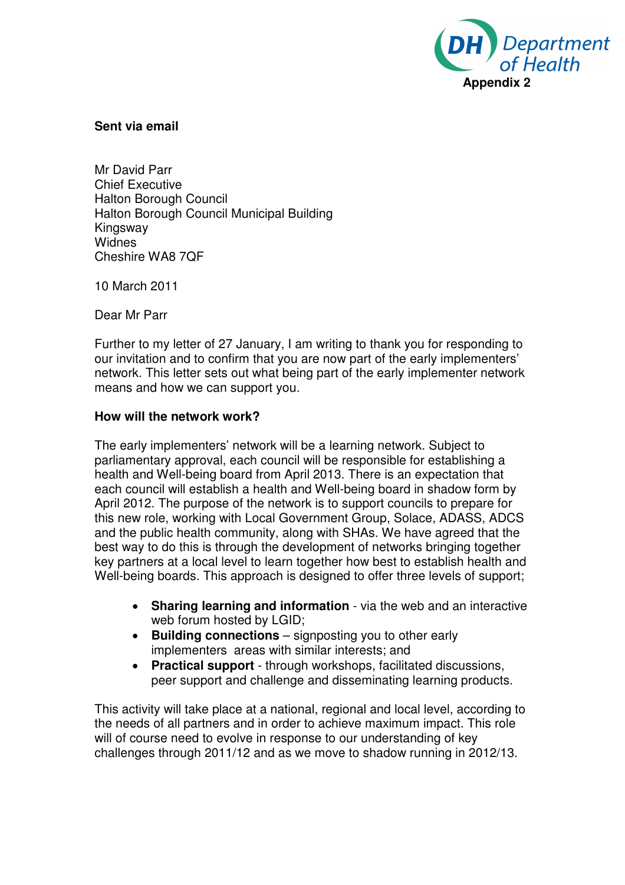

#### **Sent via email**

Mr David Parr Chief Executive Halton Borough Council Halton Borough Council Municipal Building Kingsway Widnes Cheshire WA8 7QF

10 March 2011

Dear Mr Parr

Further to my letter of 27 January, I am writing to thank you for responding to our invitation and to confirm that you are now part of the early implementers' network. This letter sets out what being part of the early implementer network means and how we can support you.

#### **How will the network work?**

The early implementers' network will be a learning network. Subject to parliamentary approval, each council will be responsible for establishing a health and Well-being board from April 2013. There is an expectation that each council will establish a health and Well-being board in shadow form by April 2012. The purpose of the network is to support councils to prepare for this new role, working with Local Government Group, Solace, ADASS, ADCS and the public health community, along with SHAs. We have agreed that the best way to do this is through the development of networks bringing together key partners at a local level to learn together how best to establish health and Well-being boards. This approach is designed to offer three levels of support;

- **Sharing learning and information** via the web and an interactive web forum hosted by LGID;
- **Building connections** signposting you to other early implementers areas with similar interests; and
- **Practical support**  through workshops, facilitated discussions, peer support and challenge and disseminating learning products.

This activity will take place at a national, regional and local level, according to the needs of all partners and in order to achieve maximum impact. This role will of course need to evolve in response to our understanding of key challenges through 2011/12 and as we move to shadow running in 2012/13.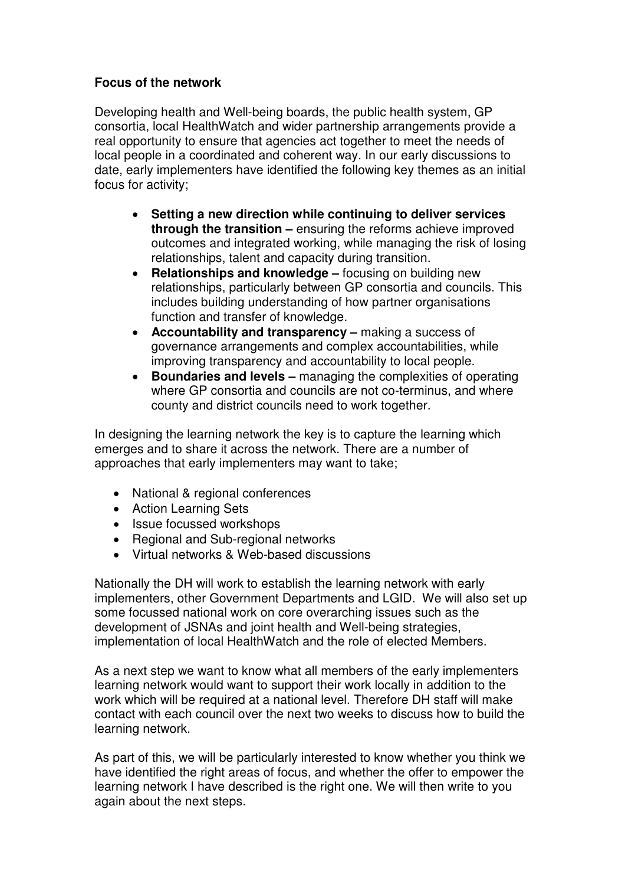### **Focus of the network**

Developing health and Well-being boards, the public health system, GP consortia, local HealthWatch and wider partnership arrangements provide a real opportunity to ensure that agencies act together to meet the needs of local people in a coordinated and coherent way. In our early discussions to date, early implementers have identified the following key themes as an initial focus for activity;

- **Setting a new direction while continuing to deliver services through the transition –** ensuring the reforms achieve improved outcomes and integrated working, while managing the risk of losing relationships, talent and capacity during transition.
- **Relationships and knowledge** focusing on building new relationships, particularly between GP consortia and councils. This includes building understanding of how partner organisations function and transfer of knowledge.
- **Accountability and transparency** making a success of governance arrangements and complex accountabilities, while improving transparency and accountability to local people.
- **Boundaries and levels** managing the complexities of operating where GP consortia and councils are not co-terminus, and where county and district councils need to work together.

In designing the learning network the key is to capture the learning which emerges and to share it across the network. There are a number of approaches that early implementers may want to take;

- National & regional conferences
- Action Learning Sets
- Issue focussed workshops
- Regional and Sub-regional networks
- Virtual networks & Web-based discussions

Nationally the DH will work to establish the learning network with early implementers, other Government Departments and LGID. We will also set up some focussed national work on core overarching issues such as the development of JSNAs and joint health and Well-being strategies, implementation of local HealthWatch and the role of elected Members.

As a next step we want to know what all members of the early implementers learning network would want to support their work locally in addition to the work which will be required at a national level. Therefore DH staff will make contact with each council over the next two weeks to discuss how to build the learning network.

As part of this, we will be particularly interested to know whether you think we have identified the right areas of focus, and whether the offer to empower the learning network I have described is the right one. We will then write to you again about the next steps.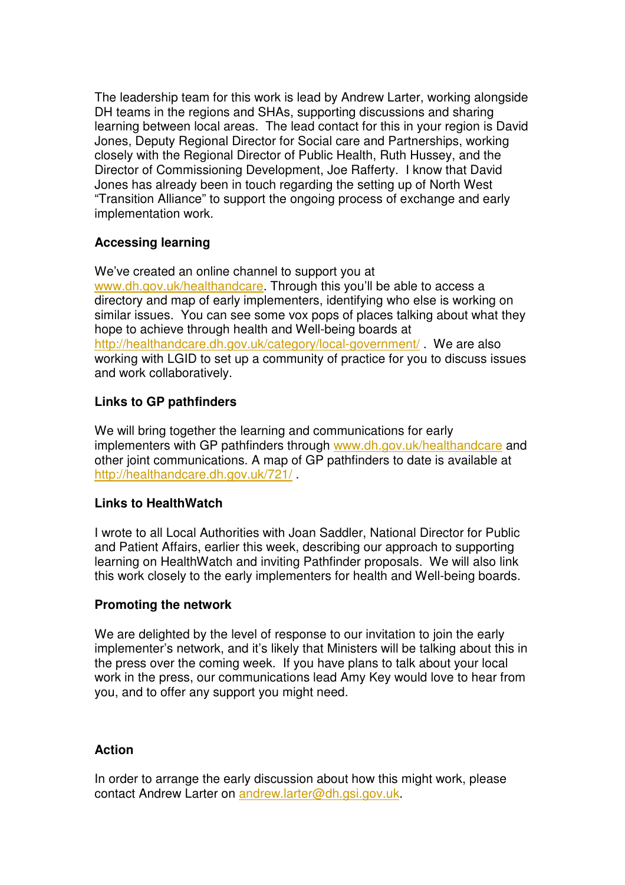The leadership team for this work is lead by Andrew Larter, working alongside DH teams in the regions and SHAs, supporting discussions and sharing learning between local areas. The lead contact for this in your region is David Jones, Deputy Regional Director for Social care and Partnerships, working closely with the Regional Director of Public Health, Ruth Hussey, and the Director of Commissioning Development, Joe Rafferty. I know that David Jones has already been in touch regarding the setting up of North West "Transition Alliance" to support the ongoing process of exchange and early implementation work.

### **Accessing learning**

We've created an online channel to support you at www.dh.gov.uk/healthandcare. Through this you'll be able to access a directory and map of early implementers, identifying who else is working on similar issues. You can see some vox pops of places talking about what they hope to achieve through health and Well-being boards at http://healthandcare.dh.gov.uk/category/local-government/ . We are also working with LGID to set up a community of practice for you to discuss issues and work collaboratively.

## **Links to GP pathfinders**

We will bring together the learning and communications for early implementers with GP pathfinders through www.dh.gov.uk/healthandcare and other joint communications. A map of GP pathfinders to date is available at http://healthandcare.dh.gov.uk/721/ .

#### **Links to HealthWatch**

I wrote to all Local Authorities with Joan Saddler, National Director for Public and Patient Affairs, earlier this week, describing our approach to supporting learning on HealthWatch and inviting Pathfinder proposals. We will also link this work closely to the early implementers for health and Well-being boards.

### **Promoting the network**

We are delighted by the level of response to our invitation to join the early implementer's network, and it's likely that Ministers will be talking about this in the press over the coming week. If you have plans to talk about your local work in the press, our communications lead Amy Key would love to hear from you, and to offer any support you might need.

#### **Action**

In order to arrange the early discussion about how this might work, please contact Andrew Larter on andrew.larter@dh.gsi.gov.uk.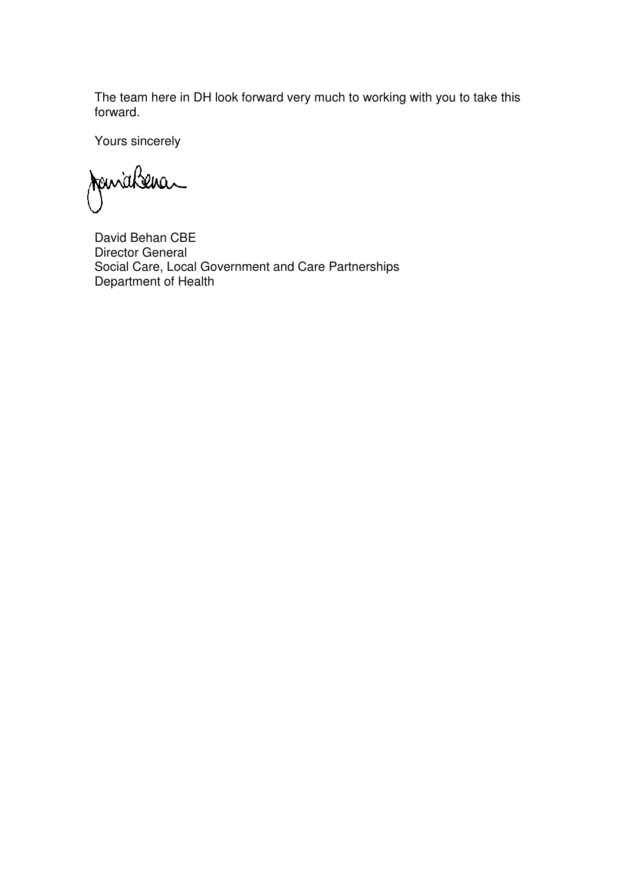The team here in DH look forward very much to working with you to take this forward.

Yours sincerely

Janichena

David Behan CBE Director General Social Care, Local Government and Care Partnerships Department of Health